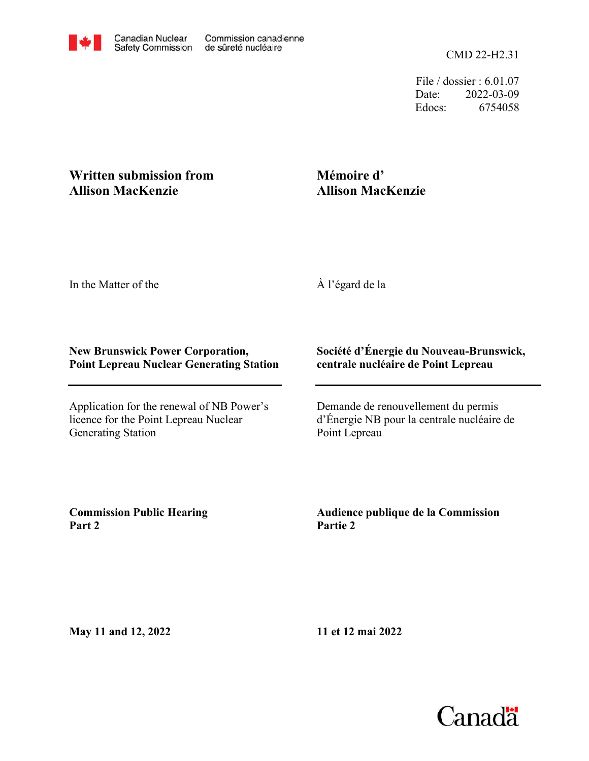File / dossier : 6.01.07 Date: 2022-03-09 Edocs: 6754058

## **Written submission from Allison MacKenzie**

## **Mémoire d' Allison MacKenzie**

In the Matter of the

À l'égard de la

## **New Brunswick Power Corporation, Point Lepreau Nuclear Generating Station**

Application for the renewal of NB Power's licence for the Point Lepreau Nuclear Generating Station

## **Société d'Énergie du Nouveau-Brunswick, centrale nucléaire de Point Lepreau**

Demande de renouvellement du permis d'Énergie NB pour la centrale nucléaire de Point Lepreau

**Commission Public Hearing Part 2**

**Audience publique de la Commission Partie 2**

**May 11 and 12, 2022**

**11 et 12 mai 2022**